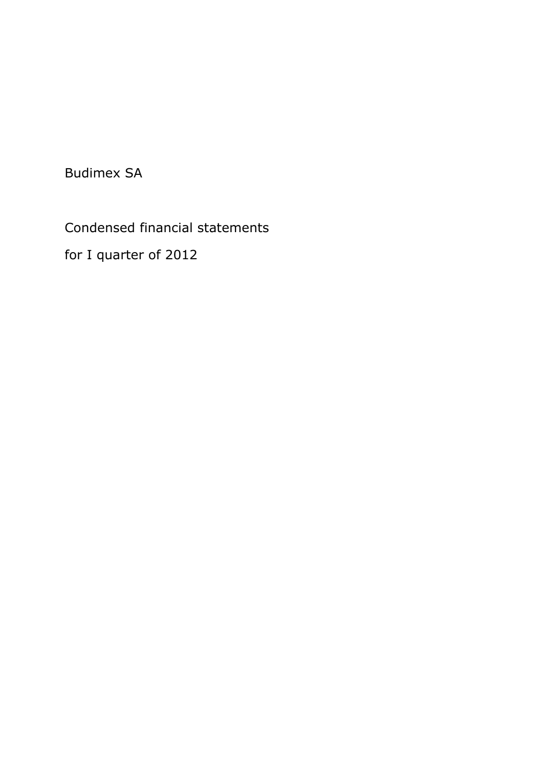Budimex SA

Condensed financial statements

for I quarter of 2012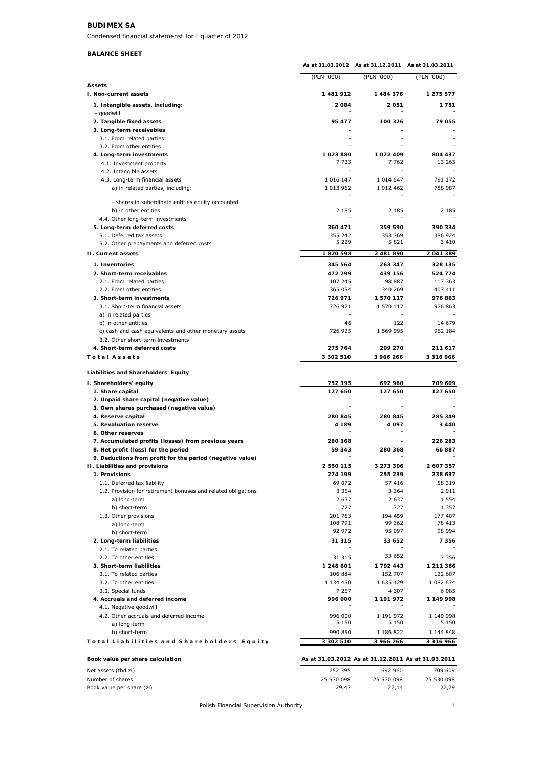#### **BUDIMEX SA**

*Condensed financial statemenst for I quarter of 2012*

#### **BALANCE SHEET**

|                                                                                            | As at 31.03.2012 As at 31.12.2011 |                                                    | As at 31.03.2011      |
|--------------------------------------------------------------------------------------------|-----------------------------------|----------------------------------------------------|-----------------------|
|                                                                                            | (PLN '000)                        | (PLN '000)                                         | (PLN '000)            |
| <b>Assets</b><br>I. Non-current assets                                                     | 1 481 912                         | 1 484 376                                          | 1 275 577             |
| 1. Intangible assets, including:                                                           | 2084                              | 2051                                               | 1751                  |
| - goodwill<br>2. Tangible fixed assets                                                     | 95 477                            | 100 326                                            | 79 055                |
| 3. Long-term receivables                                                                   |                                   |                                                    |                       |
| 3.1. From related parties                                                                  |                                   |                                                    |                       |
| 3.2. From other entities                                                                   |                                   |                                                    |                       |
| 4. Long-term investments                                                                   | 1023880                           | 1022409                                            | 804 437               |
| 4.1. Investment property                                                                   | 7 7 3 3                           | 7 7 6 2                                            | 13 265                |
| 4.2. Intangible assets                                                                     |                                   |                                                    |                       |
| 4.3. Long-term financial assets                                                            | 1 0 1 6 1 4 7                     | 1 0 1 4 6 4 7                                      | 791 172               |
| a) in related parties, including:                                                          | 1 013 962                         | 1 0 1 2 4 6 2                                      | 788 987               |
| - shares in subordinate entities equity accounted                                          |                                   |                                                    |                       |
| b) in other entities                                                                       | 2 1 8 5                           | 2 1 8 5                                            | 2 185                 |
| 4.4. Other long-term investments                                                           |                                   |                                                    |                       |
| 5. Long-term deferred costs                                                                | 360 471                           | 359 590                                            | 390 334               |
| 5.1. Deferred tax assets                                                                   | 355 242<br>5 2 2 9                | 353 769<br>5821                                    | 386 924<br>3 4 1 0    |
| 5.2. Other prepayments and deferred costs                                                  |                                   |                                                    |                       |
| <b>II. Current assets</b>                                                                  | 1820598                           | 2 481 890                                          | 2 041 389             |
| 1. Inventories                                                                             | 345 564                           | 263 347                                            | 328 135               |
| 2. Short-term receivables                                                                  | 472 299                           | 439 156                                            | 524 774               |
| 2.1. From related parties                                                                  | 107 245                           | 98 887                                             | 117 363               |
| 2.2. From other entities                                                                   | 365 054                           | 340 269                                            | 407 411               |
| 3. Short-term investments<br>3.1. Short-term financial assets                              | 726 971<br>726 971                | 1570117                                            | 976863<br>976 863     |
| a) in related parties                                                                      |                                   | 1 570 117                                          |                       |
| b) in other entities                                                                       | 46                                | 122                                                | 14 679                |
| c) cash and cash equivalents and other monetary assets                                     | 726 925                           | 1 569 995                                          | 962 184               |
| 3.2. Other short-term investments                                                          |                                   |                                                    |                       |
| 4. Short-term deferred costs                                                               | 275 764                           | 209 270                                            | 211 617               |
| <b>Total Assets</b>                                                                        | 3 302 510                         | 3 966 266                                          | 3 3 1 6 9 6 6         |
|                                                                                            |                                   |                                                    |                       |
| Liabilities and Shareholders' Equity                                                       |                                   |                                                    |                       |
| I. Shareholders' equity                                                                    | 752 395                           | 692 960                                            | 709 609               |
| 1. Share capital                                                                           | 127 650                           | 127 650                                            | 127 650               |
| 2. Unpaid share capital (negative value)                                                   |                                   |                                                    |                       |
| 3. Own shares purchased (negative value)                                                   |                                   |                                                    |                       |
| 4. Reserve capital                                                                         | 280 845                           | 280 845                                            | 285 349               |
| 5. Revaluation reserve                                                                     | 4 189                             | 4097                                               | 3440                  |
| 6. Other reserves                                                                          | 280 368                           |                                                    | 226 283               |
| 7. Accumulated profits (losses) from previous years<br>8. Net profit (loss) for the period | 59 343                            | 280 368                                            | 66887                 |
| 9. Deductions from profit for the period (negative value)                                  |                                   |                                                    |                       |
| II. Liabilities and provisions                                                             | 2 550 115                         | 3 273 306                                          | 2 607 357             |
| 1. Provisions                                                                              | 274 199                           | 255 239                                            | 238 637               |
| 1.1. Deferred tax liability                                                                | 69 072                            | 57 416                                             | 58 319                |
| 1.2. Provision for retirement bonuses and related obligations                              | 3 3 6 4                           | 3 3 6 4                                            | 2911                  |
| a) long-term                                                                               | 2 6 3 7                           | 2 6 3 7                                            | 1 5 5 4               |
| b) short-term                                                                              | 727                               | 727                                                | 1 3 5 7               |
| 1.3. Other provisions                                                                      | 201 763                           | 194 459                                            | 177 407               |
| a) long-term                                                                               | 108 791                           | 99 362                                             | 78 413                |
| b) short-term                                                                              | 92 972                            | 95 097                                             | 98 994                |
| 2. Long-term liabilities                                                                   | 31 315                            | 33 652                                             | 7 3 5 6               |
| 2.1. To related parties                                                                    |                                   |                                                    |                       |
| 2.2. To other entities                                                                     | 31 315                            | 33 652                                             | 7 3 5 6               |
| 3. Short-term liabilities                                                                  | 1 248 601                         | 1792443                                            | 1 211 366             |
| 3.1. To related parties                                                                    | 106 884                           | 152 707                                            | 122 607               |
| 3.2. To other entities                                                                     | 1 134 450                         | 1 635 429                                          | 1 082 674             |
| 3.3. Special funds                                                                         | 7 2 6 7                           | 4 3 0 7                                            | 6 085                 |
| 4. Accruals and deferred income                                                            | 996 000                           | 1 191 972                                          | 1 149 998             |
| 4.1. Negative goodwill                                                                     |                                   |                                                    |                       |
| 4.2. Other accruals and deferred income                                                    | 996 000<br>5 1 5 0                | 1 191 972<br>5 1 5 0                               | 1 149 998<br>5 1 5 0  |
| a) long-term                                                                               |                                   |                                                    |                       |
| b) short-term                                                                              | 990 850                           | 1 186 822                                          | 1 144 848             |
| Total Liabilities and Shareholders' Equity                                                 | 3 302 510                         | 3 966 266                                          | 3 3 1 6 9 6 6         |
| Book value per share calculation                                                           |                                   | As at 31.03.2012 As at 31.12.2011 As at 31.03.2011 |                       |
|                                                                                            |                                   |                                                    |                       |
| Net assets (thd zł)<br>Number of shares                                                    | 752 395<br>25 530 098             | 692 960<br>25 530 098                              | 709 609<br>25 530 098 |
| Book value per share (zł)                                                                  | 29,47                             | 27,14                                              | 27,79                 |
|                                                                                            |                                   |                                                    |                       |

Polish Financial Supervision Authority 1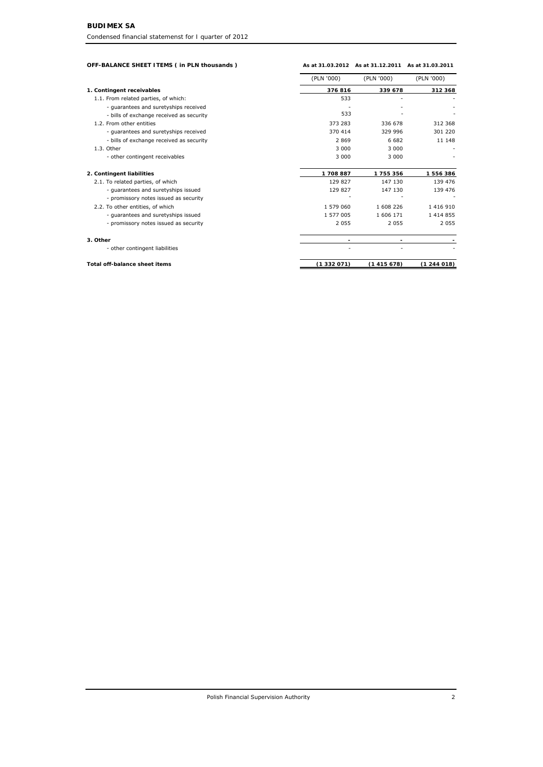| OFF-BALANCE SHEET ITEMS ( in PLN thousands ) |            | As at 31.03.2012 As at 31.12.2011 As at 31.03.2011 |               |
|----------------------------------------------|------------|----------------------------------------------------|---------------|
|                                              | (PLN '000) | (PLN '000)                                         | (PLN '000)    |
| 1. Contingent receivables                    | 376816     | 339 678                                            | 312 368       |
| 1.1. From related parties, of which:         | 533        |                                                    |               |
| - guarantees and suretyships received        |            |                                                    |               |
| - bills of exchange received as security     | 533        |                                                    |               |
| 1.2. From other entities                     | 373 283    | 336 678                                            | 312 368       |
| - guarantees and suretyships received        | 370 414    | 329 996                                            | 301 220       |
| - bills of exchange received as security     | 2869       | 6 682                                              | 11 148        |
| 1.3. Other                                   | 3 000      | 3 0 0 0                                            |               |
| - other contingent receivables               | 3 0 0 0    | 3 0 0 0                                            |               |
| 2. Contingent liabilities                    | 1708887    | 1755356                                            | 1556386       |
| 2.1. To related parties, of which            | 129 827    | 147 130                                            | 139 476       |
| - guarantees and suretyships issued          | 129 827    | 147 130                                            | 139 476       |
| - promissory notes issued as security        |            |                                                    |               |
| 2.2. To other entities, of which             | 1 579 060  | 1 608 226                                          | 1 416 910     |
| - guarantees and suretyships issued          | 1 577 005  | 1 606 171                                          | 1 4 1 4 8 5 5 |
| - promissory notes issued as security        | 2055       | 2 0 5 5                                            | 2 0 5 5       |
| 3. Other                                     |            |                                                    |               |
| - other contingent liabilities               |            |                                                    |               |

| Total off-balance sheet items | 415 678) | 244 018) |
|-------------------------------|----------|----------|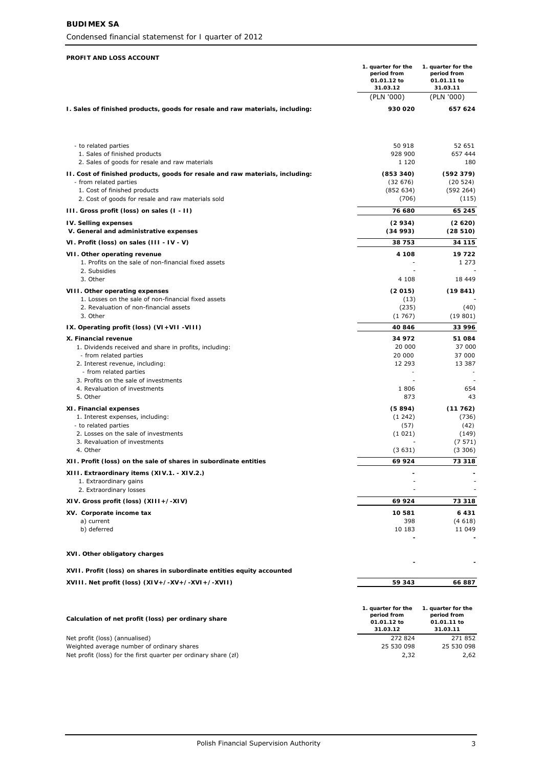*Condensed financial statemenst for I quarter of 2012*

#### **PROFIT AND LOSS ACCOUNT**

|                                                                                                      | 1. quarter for the<br>period from<br>01.01.12 to<br>31.03.12 | 1. quarter for the<br>period from<br>01.01.11 to<br>31.03.11 |
|------------------------------------------------------------------------------------------------------|--------------------------------------------------------------|--------------------------------------------------------------|
|                                                                                                      | (PLN '000)                                                   | (PLN '000)                                                   |
| I. Sales of finished products, goods for resale and raw materials, including:                        | 930 020                                                      | 657 624                                                      |
| - to related parties                                                                                 | 50 918                                                       | 52 651                                                       |
| 1. Sales of finished products<br>2. Sales of goods for resale and raw materials                      | 928 900<br>1 1 2 0                                           | 657 444<br>180                                               |
| II. Cost of finished products, goods for resale and raw materials, including:                        | (853 340)                                                    | (592379)                                                     |
| - from related parties<br>1. Cost of finished products                                               | (32676)<br>(852 634)                                         | (20 524)<br>(592 264)                                        |
| 2. Cost of goods for resale and raw materials sold                                                   | (706)                                                        | (115)                                                        |
| III. Gross profit (loss) on sales (I - II)                                                           | 76 680                                                       | 65 245                                                       |
| <b>IV. Selling expenses</b>                                                                          | (2934)                                                       | (2620)                                                       |
| V. General and administrative expenses                                                               | (34993)<br>38 753                                            | (28510)                                                      |
| VI. Profit (loss) on sales (III - IV - V)                                                            | 4 108                                                        | 34 115<br>19722                                              |
| VII. Other operating revenue<br>1. Profits on the sale of non-financial fixed assets<br>2. Subsidies |                                                              | 1 273                                                        |
| 3. Other                                                                                             | 4 108                                                        | 18 449                                                       |
| VIII. Other operating expenses                                                                       | (2015)                                                       | (19841)                                                      |
| 1. Losses on the sale of non-financial fixed assets<br>2. Revaluation of non-financial assets        | (13)<br>(235)                                                | (40)                                                         |
| 3. Other                                                                                             | (1767)                                                       | (19801)                                                      |
| IX. Operating profit (loss) (VI+VII-VIII)                                                            | 40846                                                        | 33 996                                                       |
| X. Financial revenue                                                                                 | 34 972                                                       | 51 084                                                       |
| 1. Dividends received and share in profits, including:<br>- from related parties                     | 20 000<br><i>20 000</i>                                      | 37 000<br><i>37 000</i>                                      |
| 2. Interest revenue, including:<br>- from related parties                                            | 12 293                                                       | 13 387                                                       |
| 3. Profits on the sale of investments                                                                |                                                              |                                                              |
| 4. Revaluation of investments                                                                        | 1806                                                         | 654                                                          |
| 5. Other                                                                                             | 873                                                          | 43                                                           |
| XI. Financial expenses                                                                               | (5894)                                                       | (11762)                                                      |
| 1. Interest expenses, including:<br>- to related parties                                             | (1242)<br>(57)                                               | (736)<br>(42)                                                |
| 2. Losses on the sale of investments                                                                 | (1021)                                                       | (149)                                                        |
| 3. Revaluation of investments<br>4. Other                                                            | (3631)                                                       | (7571)<br>(3306)                                             |
| XII. Profit (loss) on the sale of shares in subordinate entities                                     | 69 924                                                       | 73 318                                                       |
| XIII. Extraordinary items (XIV.1. - XIV.2.)                                                          |                                                              |                                                              |
| 1. Extraordinary gains                                                                               |                                                              |                                                              |
| 2. Extraordinary losses                                                                              |                                                              |                                                              |
| XIV. Gross profit (loss) (XIII+/-XIV)                                                                | 69 924                                                       | 73 318                                                       |
| XV. Corporate income tax<br>a) current                                                               | 10581<br>398                                                 | 6431<br>(4618)                                               |
| b) deferred                                                                                          | 10 183                                                       | 11 049                                                       |
|                                                                                                      |                                                              |                                                              |
| XVI. Other obligatory charges                                                                        |                                                              |                                                              |
| XVII. Profit (loss) on shares in subordinate entities equity accounted                               |                                                              |                                                              |
| XVIII. Net profit (loss) (XIV+/-XV+/-XVI+/-XVII)                                                     | 59 343                                                       | 66887                                                        |
|                                                                                                      | 1. quarter for the<br>period from                            | 1. quarter for the<br>period from                            |
| Calculation of net profit (loss) per ordinary share                                                  | 01.01.12 to                                                  | 01.01.11 to                                                  |
| Net profit (loss) (annualised)                                                                       | 31.03.12<br>272 824                                          | 31.03.11<br>271 852                                          |
| Weighted average number of ordinary shares                                                           | 25.530.098                                                   | 25 530 098                                                   |

| Net profit (loss) (annualised)                                  | 272824     | 271 852    |
|-----------------------------------------------------------------|------------|------------|
| Weighted average number of ordinary shares                      | 25 530 098 | 25 530 098 |
| Net profit (loss) for the first quarter per ordinary share (zł) | 2.32       | 2.62       |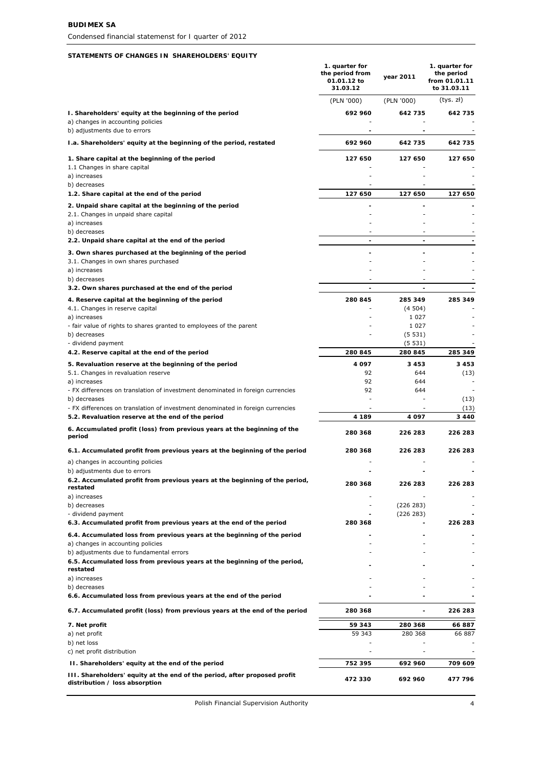#### **STATEMENTS OF CHANGES IN SHAREHOLDERS' EQUITY**

|                                                                                                                                      | 1. quarter for<br>the period from<br>01.01.12 to<br>31.03.12 | year 2011                | 1. quarter for<br>the period<br>from 01.01.11<br>to 31.03.11 |
|--------------------------------------------------------------------------------------------------------------------------------------|--------------------------------------------------------------|--------------------------|--------------------------------------------------------------|
|                                                                                                                                      | (PLN '000)                                                   | (PLN '000)               | (tys. zł)                                                    |
| I. Shareholders' equity at the beginning of the period<br>a) changes in accounting policies<br>b) adjustments due to errors          | 692 960                                                      | 642 735                  | 642 735                                                      |
| I.a. Shareholders' equity at the beginning of the period, restated                                                                   | 692 960                                                      | 642 735                  | 642 735                                                      |
| 1. Share capital at the beginning of the period                                                                                      | 127 650                                                      | 127 650                  | 127 650                                                      |
| 1.1 Changes in share capital<br>a) increases<br>b) decreases                                                                         |                                                              |                          |                                                              |
| 1.2. Share capital at the end of the period                                                                                          | 127 650                                                      | 127 650                  | 127 650                                                      |
| 2. Unpaid share capital at the beginning of the period<br>2.1. Changes in unpaid share capital                                       |                                                              |                          |                                                              |
| a) increases                                                                                                                         |                                                              |                          |                                                              |
| b) decreases<br>2.2. Unpaid share capital at the end of the period                                                                   | $\overline{\phantom{a}}$<br>$\blacksquare$                   | $\sim$<br>$\overline{a}$ |                                                              |
| 3. Own shares purchased at the beginning of the period                                                                               |                                                              |                          |                                                              |
| 3.1. Changes in own shares purchased                                                                                                 |                                                              |                          |                                                              |
| a) increases<br>b) decreases                                                                                                         |                                                              |                          |                                                              |
| 3.2. Own shares purchased at the end of the period                                                                                   |                                                              |                          |                                                              |
| 4. Reserve capital at the beginning of the period<br>4.1. Changes in reserve capital                                                 | 280 845                                                      | 285 349<br>(4504)        | 285 349                                                      |
| a) increases                                                                                                                         |                                                              | 1 0 2 7                  |                                                              |
| - fair value of rights to shares granted to employees of the parent<br>b) decreases                                                  |                                                              | 1 0 2 7<br>(5531)        |                                                              |
| - dividend payment                                                                                                                   |                                                              | (5531)                   |                                                              |
| 4.2. Reserve capital at the end of the period                                                                                        | 280 845                                                      | 280 845                  | 285 349                                                      |
| 5. Revaluation reserve at the beginning of the period<br>5.1. Changes in revaluation reserve                                         | 4 097<br>92                                                  | 3453<br>644              | 3453<br>(13)                                                 |
| a) increases                                                                                                                         | 92                                                           | 644                      |                                                              |
| - FX differences on translation of investment denominated in foreign currencies<br>b) decreases                                      | 92                                                           | 644                      | (13)                                                         |
| - FX differences on translation of investment denominated in foreign currencies<br>5.2. Revaluation reserve at the end of the period | 4 189                                                        | 4 0 9 7                  | (13)<br>3 4 4 0                                              |
| 6. Accumulated profit (loss) from previous years at the beginning of the                                                             |                                                              |                          |                                                              |
| period                                                                                                                               | 280 368                                                      | 226 283                  | 226 283                                                      |
| 6.1. Accumulated profit from previous years at the beginning of the period                                                           | 280 368                                                      | 226 283                  | 226 283                                                      |
| a) changes in accounting policies<br>b) adjustments due to errors                                                                    |                                                              |                          |                                                              |
| 6.2. Accumulated profit from previous years at the beginning of the period,                                                          | 280 368                                                      | 226 283                  | 226 283                                                      |
| restated<br>a) increases                                                                                                             |                                                              |                          |                                                              |
| b) decreases                                                                                                                         |                                                              | (226 283)                |                                                              |
| - dividend payment<br>6.3. Accumulated profit from previous years at the end of the period                                           | 280 368                                                      | (226 283)                | 226 283                                                      |
| 6.4. Accumulated loss from previous years at the beginning of the period                                                             |                                                              | Ĭ.                       |                                                              |
| a) changes in accounting policies<br>b) adjustments due to fundamental errors                                                        |                                                              | Ξ                        |                                                              |
| 6.5. Accumulated loss from previous years at the beginning of the period,<br>restated                                                |                                                              |                          |                                                              |
| a) increases                                                                                                                         |                                                              |                          |                                                              |
| b) decreases<br>6.6. Accumulated loss from previous years at the end of the period                                                   |                                                              |                          |                                                              |
| 6.7. Accumulated profit (loss) from previous years at the end of the period                                                          | 280 368                                                      | $\blacksquare$           | 226 283                                                      |
| 7. Net profit                                                                                                                        | 59 343                                                       | 280 368                  | 66887                                                        |
| a) net profit<br>b) net loss                                                                                                         | 59 343                                                       | 280 368                  | 66 887                                                       |
| c) net profit distribution                                                                                                           |                                                              |                          |                                                              |
| II. Shareholders' equity at the end of the period                                                                                    | 752 395                                                      | 692 960                  | 709 609                                                      |
| III. Shareholders' equity at the end of the period, after proposed profit<br>distribution / loss absorption                          | 472 330                                                      | 692 960                  | 477 796                                                      |

Polish Financial Supervision Authority 4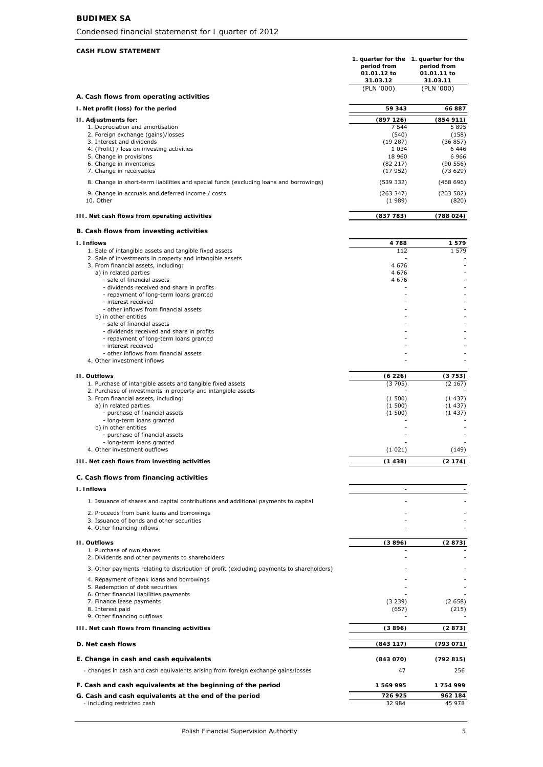# **BUDIMEX SA**

*Condensed financial statemenst for I quarter of 2012*

# **CASH FLOW STATEMENT**

|                                                                                                                            | 1. quarter for the 1. quarter for the<br>period from<br>01.01.12 to<br>31.03.12 | period from<br>01.01.11 to<br>31.03.11 |
|----------------------------------------------------------------------------------------------------------------------------|---------------------------------------------------------------------------------|----------------------------------------|
|                                                                                                                            | (PLN '000)                                                                      | (PLN '000)                             |
| A. Cash flows from operating activities<br>I. Net profit (loss) for the period                                             | 59 343                                                                          | 66887                                  |
| II. Adjustments for:                                                                                                       | (897126)                                                                        | (854911)                               |
| 1. Depreciation and amortisation                                                                                           | 7 5 4 4                                                                         | 5895                                   |
| 2. Foreign exchange (gains)/losses                                                                                         | (540)                                                                           | (158)                                  |
| 3. Interest and dividends<br>4. (Profit) / loss on investing activities                                                    | (19 287)<br>1 0 3 4                                                             | (36857)<br>6446                        |
| 5. Change in provisions                                                                                                    | 18 960                                                                          | 6966                                   |
| 6. Change in inventories<br>7. Change in receivables                                                                       | (82 217)<br>(17952)                                                             | (90 556)<br>(73629)                    |
| 8. Change in short-term liabilities and special funds (excluding loans and borrowings)                                     | (539 332)                                                                       | (468696)                               |
| 9. Change in accruals and deferred income / costs<br>10. Other                                                             | (263 347)<br>(1989)                                                             | (203 502)<br>(820)                     |
| III. Net cash flows from operating activities                                                                              | (837783)                                                                        | (788 024)                              |
| B. Cash flows from investing activities                                                                                    |                                                                                 |                                        |
| I. Inflows                                                                                                                 | 4788                                                                            | 1579                                   |
| 1. Sale of intangible assets and tangible fixed assets<br>2. Sale of investments in property and intangible assets         | 112                                                                             | 1 579                                  |
| 3. From financial assets, including:                                                                                       | 4676                                                                            |                                        |
| a) in related parties                                                                                                      | 4 6 7 6                                                                         |                                        |
| - sale of financial assets<br>- dividends received and share in profits                                                    | 4 6 7 6                                                                         |                                        |
| - repayment of long-term loans granted                                                                                     |                                                                                 |                                        |
| - interest received<br>- other inflows from financial assets                                                               |                                                                                 |                                        |
| b) in other entities                                                                                                       |                                                                                 |                                        |
| - sale of financial assets                                                                                                 |                                                                                 |                                        |
| - dividends received and share in profits<br>- repayment of long-term loans granted                                        |                                                                                 |                                        |
| - interest received                                                                                                        |                                                                                 |                                        |
| - other inflows from financial assets<br>4. Other investment inflows                                                       |                                                                                 |                                        |
|                                                                                                                            |                                                                                 |                                        |
| <b>II. Outflows</b>                                                                                                        | (6226)                                                                          | (3753)                                 |
| 1. Purchase of intangible assets and tangible fixed assets<br>2. Purchase of investments in property and intangible assets | (3705)                                                                          | (2167)                                 |
| 3. From financial assets, including:                                                                                       | (1500)                                                                          | (1437)                                 |
| a) in related parties<br>- purchase of financial assets                                                                    | (1500)<br>(1500)                                                                | (1437)<br>(1437)                       |
| - long-term loans granted                                                                                                  |                                                                                 |                                        |
| b) in other entities<br>- purchase of financial assets                                                                     |                                                                                 |                                        |
| - long-term loans granted                                                                                                  |                                                                                 |                                        |
| 4. Other investment outflows                                                                                               | (1021)                                                                          | (149)                                  |
| III. Net cash flows from investing activities                                                                              | (1438)                                                                          | (2174)                                 |
| C. Cash flows from financing activities<br><b>I. Inflows</b>                                                               |                                                                                 |                                        |
| 1. Issuance of shares and capital contributions and additional payments to capital                                         | $\blacksquare$                                                                  |                                        |
|                                                                                                                            |                                                                                 |                                        |
| 2. Proceeds from bank loans and borrowings<br>3. Issuance of bonds and other securities                                    |                                                                                 |                                        |
| 4. Other financing inflows                                                                                                 |                                                                                 |                                        |
| II. Outflows                                                                                                               | (3896)                                                                          | (2873)                                 |
| 1. Purchase of own shares<br>2. Dividends and other payments to shareholders                                               |                                                                                 |                                        |
| 3. Other payments relating to distribution of profit (excluding payments to shareholders)                                  |                                                                                 |                                        |
| 4. Repayment of bank loans and borrowings                                                                                  |                                                                                 |                                        |
| 5. Redemption of debt securities                                                                                           |                                                                                 |                                        |
| 6. Other financial liabilities payments<br>7. Finance lease payments                                                       | (3 239)                                                                         | (2658)                                 |
| 8. Interest paid                                                                                                           | (657)                                                                           | (215)                                  |
| 9. Other financing outflows                                                                                                |                                                                                 |                                        |
| III. Net cash flows from financing activities                                                                              | (3896)                                                                          | (2873)                                 |
| D. Net cash flows                                                                                                          | (843117)                                                                        | (793 071)                              |
| E. Change in cash and cash equivalents                                                                                     | (843070)                                                                        | (792815)                               |
| - changes in cash and cash equivalents arising from foreign exchange gains/losses                                          | 47                                                                              | 256                                    |
| F. Cash and cash equivalents at the beginning of the period                                                                | 1569995                                                                         | 1754999                                |
| G. Cash and cash equivalents at the end of the period                                                                      | 726 925                                                                         | 962 184                                |
| - including restricted cash                                                                                                | 32 984                                                                          | 45 978                                 |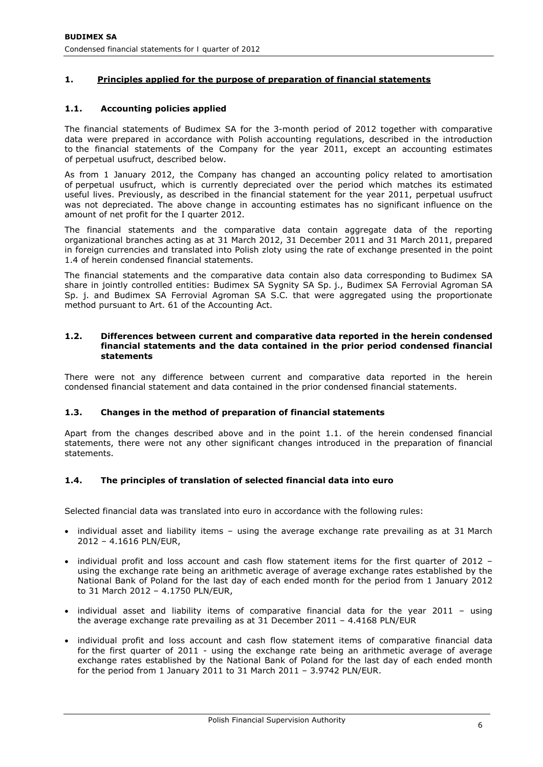# **1. Principles applied for the purpose of preparation of financial statements**

# **1.1. Accounting policies applied**

The financial statements of Budimex SA for the 3-month period of 2012 together with comparative data were prepared in accordance with Polish accounting regulations, described in the introduction to the financial statements of the Company for the year 2011, except an accounting estimates of perpetual usufruct, described below.

As from 1 January 2012, the Company has changed an accounting policy related to amortisation of perpetual usufruct, which is currently depreciated over the period which matches its estimated useful lives. Previously, as described in the financial statement for the year 2011, perpetual usufruct was not depreciated. The above change in accounting estimates has no significant influence on the amount of net profit for the I quarter 2012.

The financial statements and the comparative data contain aggregate data of the reporting organizational branches acting as at 31 March 2012, 31 December 2011 and 31 March 2011, prepared in foreign currencies and translated into Polish zloty using the rate of exchange presented in the point 1.4 of herein condensed financial statements.

The financial statements and the comparative data contain also data corresponding to Budimex SA share in jointly controlled entities: Budimex SA Sygnity SA Sp. j., Budimex SA Ferrovial Agroman SA Sp. j. and Budimex SA Ferrovial Agroman SA S.C. that were aggregated using the proportionate method pursuant to Art. 61 of the Accounting Act.

#### **1.2. Differences between current and comparative data reported in the herein condensed financial statements and the data contained in the prior period condensed financial statements**

There were not any difference between current and comparative data reported in the herein condensed financial statement and data contained in the prior condensed financial statements.

# **1.3. Changes in the method of preparation of financial statements**

Apart from the changes described above and in the point 1.1. of the herein condensed financial statements, there were not any other significant changes introduced in the preparation of financial statements.

# **1.4. The principles of translation of selected financial data into euro**

Selected financial data was translated into euro in accordance with the following rules:

- individual asset and liability items using the average exchange rate prevailing as at 31 March 2012 – 4.1616 PLN/EUR,
- individual profit and loss account and cash flow statement items for the first quarter of 2012 using the exchange rate being an arithmetic average of average exchange rates established by the National Bank of Poland for the last day of each ended month for the period from 1 January 2012 to 31 March 2012 – 4.1750 PLN/EUR,
- individual asset and liability items of comparative financial data for the year 2011 using the average exchange rate prevailing as at 31 December 2011 – 4.4168 PLN/EUR
- individual profit and loss account and cash flow statement items of comparative financial data for the first quarter of 2011 - using the exchange rate being an arithmetic average of average exchange rates established by the National Bank of Poland for the last day of each ended month for the period from 1 January 2011 to 31 March 2011 – 3.9742 PLN/EUR.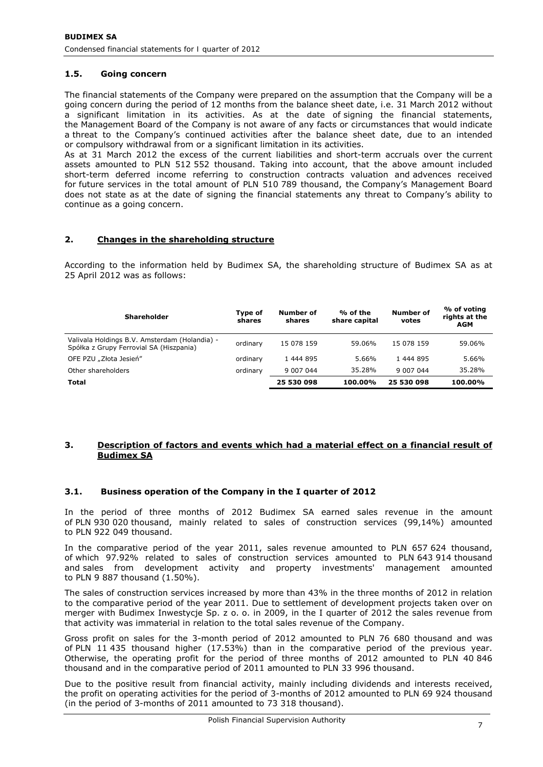# **1.5. Going concern**

The financial statements of the Company were prepared on the assumption that the Company will be a going concern during the period of 12 months from the balance sheet date, i.e. 31 March 2012 without a significant limitation in its activities. As at the date of signing the financial statements, the Management Board of the Company is not aware of any facts or circumstances that would indicate a threat to the Company's continued activities after the balance sheet date, due to an intended or compulsory withdrawal from or a significant limitation in its activities.

As at 31 March 2012 the excess of the current liabilities and short-term accruals over the current assets amounted to PLN 512 552 thousand. Taking into account, that the above amount included short-term deferred income referring to construction contracts valuation and advences received for future services in the total amount of PLN 510 789 thousand, the Company's Management Board does not state as at the date of signing the financial statements any threat to Company's ability to continue as a going concern.

# **2. Changes in the shareholding structure**

According to the information held by Budimex SA, the shareholding structure of Budimex SA as at 25 April 2012 was as follows:

| <b>Shareholder</b>                                                                       | Type of<br>shares | Number of<br>shares | % of the<br>share capital | Number of<br>votes | % of voting<br>rights at the<br><b>AGM</b> |
|------------------------------------------------------------------------------------------|-------------------|---------------------|---------------------------|--------------------|--------------------------------------------|
| Valivala Holdings B.V. Amsterdam (Holandia) -<br>Spółka z Grupy Ferrovial SA (Hiszpania) | ordinary          | 15 078 159          | 59.06%                    | 15 078 159         | 59.06%                                     |
| OFE PZU "Złota Jesień"                                                                   | ordinary          | 1 444 895           | 5.66%                     | 1 444 895          | 5.66%                                      |
| Other shareholders                                                                       | ordinary          | 9 007 044           | 35.28%                    | 9 007 044          | 35.28%                                     |
| <b>Total</b>                                                                             |                   | 25 530 098          | 100.00%                   | 25 530 098         | 100.00%                                    |

# **3. Description of factors and events which had a material effect on a financial result of Budimex SA**

# **3.1. Business operation of the Company in the I quarter of 2012**

In the period of three months of 2012 Budimex SA earned sales revenue in the amount of PLN 930 020 thousand, mainly related to sales of construction services (99,14%) amounted to PLN 922 049 thousand.

In the comparative period of the year 2011, sales revenue amounted to PLN 657 624 thousand, of which 97.92% related to sales of construction services amounted to PLN 643 914 thousand and sales from development activity and property investments' management amounted to PLN 9 887 thousand (1.50%).

The sales of construction services increased by more than 43% in the three months of 2012 in relation to the comparative period of the year 2011. Due to settlement of development projects taken over on merger with Budimex Inwestycje Sp. z o. o. in 2009, in the I quarter of 2012 the sales revenue from that activity was immaterial in relation to the total sales revenue of the Company.

Gross profit on sales for the 3-month period of 2012 amounted to PLN 76 680 thousand and was of PLN 11 435 thousand higher (17.53%) than in the comparative period of the previous year. Otherwise, the operating profit for the period of three months of 2012 amounted to PLN 40 846 thousand and in the comparative period of 2011 amounted to PLN 33 996 thousand.

Due to the positive result from financial activity, mainly including dividends and interests received, the profit on operating activities for the period of 3-months of 2012 amounted to PLN 69 924 thousand (in the period of 3-months of 2011 amounted to 73 318 thousand).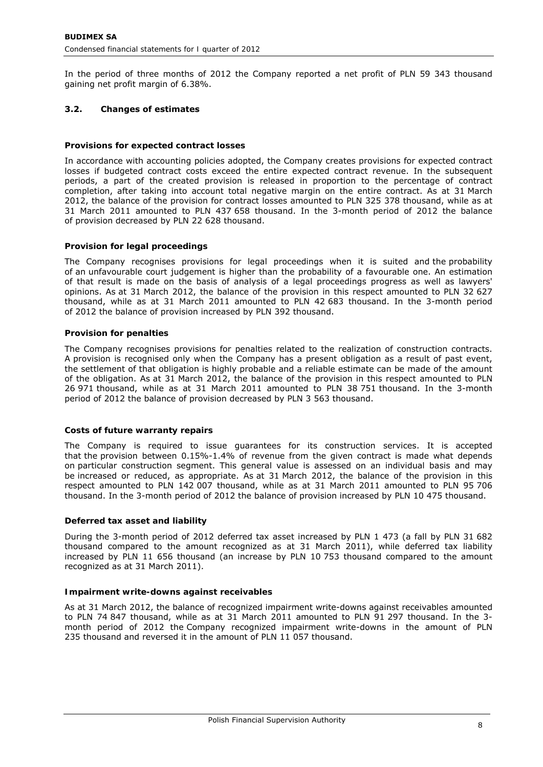In the period of three months of 2012 the Company reported a net profit of PLN 59 343 thousand gaining net profit margin of 6.38%.

# **3.2. Changes of estimates**

# *Provisions for expected contract losses*

In accordance with accounting policies adopted, the Company creates provisions for expected contract losses if budgeted contract costs exceed the entire expected contract revenue. In the subsequent periods, a part of the created provision is released in proportion to the percentage of contract completion, after taking into account total negative margin on the entire contract. As at 31 March 2012, the balance of the provision for contract losses amounted to PLN 325 378 thousand, while as at 31 March 2011 amounted to PLN 437 658 thousand. In the 3-month period of 2012 the balance of provision decreased by PLN 22 628 thousand.

# *Provision for legal proceedings*

The Company recognises provisions for legal proceedings when it is suited and the probability of an unfavourable court judgement is higher than the probability of a favourable one. An estimation of that result is made on the basis of analysis of a legal proceedings progress as well as lawyers' opinions. As at 31 March 2012, the balance of the provision in this respect amounted to PLN 32 627 thousand, while as at 31 March 2011 amounted to PLN 42 683 thousand. In the 3-month period of 2012 the balance of provision increased by PLN 392 thousand.

# *Provision for penalties*

The Company recognises provisions for penalties related to the realization of construction contracts. A provision is recognised only when the Company has a present obligation as a result of past event, the settlement of that obligation is highly probable and a reliable estimate can be made of the amount of the obligation. As at 31 March 2012, the balance of the provision in this respect amounted to PLN 26 971 thousand, while as at 31 March 2011 amounted to PLN 38 751 thousand. In the 3-month period of 2012 the balance of provision decreased by PLN 3 563 thousand.

# *Costs of future warranty repairs*

The Company is required to issue guarantees for its construction services. It is accepted that the provision between 0.15%-1.4% of revenue from the given contract is made what depends on particular construction segment. This general value is assessed on an individual basis and may be increased or reduced, as appropriate. As at 31 March 2012, the balance of the provision in this respect amounted to PLN 142 007 thousand, while as at 31 March 2011 amounted to PLN 95 706 thousand. In the 3-month period of 2012 the balance of provision increased by PLN 10 475 thousand.

# *Deferred tax asset and liability*

During the 3-month period of 2012 deferred tax asset increased by PLN 1 473 (a fall by PLN 31 682 thousand compared to the amount recognized as at 31 March 2011), while deferred tax liability increased by PLN 11 656 thousand (an increase by PLN 10 753 thousand compared to the amount recognized as at 31 March 2011).

# *Impairment write-downs against receivables*

As at 31 March 2012, the balance of recognized impairment write-downs against receivables amounted to PLN 74 847 thousand, while as at 31 March 2011 amounted to PLN 91 297 thousand. In the 3 month period of 2012 the Company recognized impairment write-downs in the amount of PLN 235 thousand and reversed it in the amount of PLN 11 057 thousand.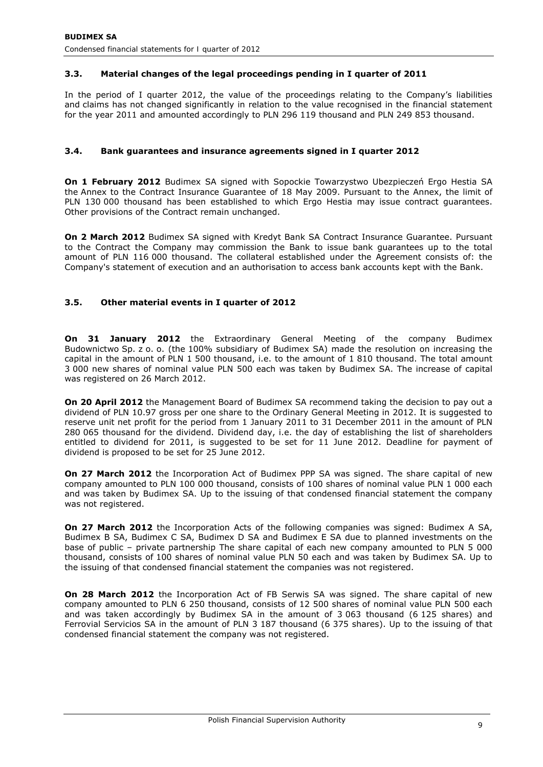# **3.3. Material changes of the legal proceedings pending in I quarter of 2011**

In the period of I quarter 2012, the value of the proceedings relating to the Company's liabilities and claims has not changed significantly in relation to the value recognised in the financial statement for the year 2011 and amounted accordingly to PLN 296 119 thousand and PLN 249 853 thousand.

# **3.4. Bank guarantees and insurance agreements signed in I quarter 2012**

**On 1 February 2012** Budimex SA signed with Sopockie Towarzystwo Ubezpieczeń Ergo Hestia SA the Annex to the Contract Insurance Guarantee of 18 May 2009. Pursuant to the Annex, the limit of PLN 130 000 thousand has been established to which Ergo Hestia may issue contract guarantees. Other provisions of the Contract remain unchanged.

**On 2 March 2012** Budimex SA signed with Kredyt Bank SA Contract Insurance Guarantee. Pursuant to the Contract the Company may commission the Bank to issue bank guarantees up to the total amount of PLN 116 000 thousand. The collateral established under the Agreement consists of: the Company's statement of execution and an authorisation to access bank accounts kept with the Bank.

# **3.5. Other material events in I quarter of 2012**

**On 31 January 2012** the Extraordinary General Meeting of the company Budimex Budownictwo Sp. z o. o. (the 100% subsidiary of Budimex SA) made the resolution on increasing the capital in the amount of PLN 1 500 thousand, i.e. to the amount of 1 810 thousand. The total amount 3 000 new shares of nominal value PLN 500 each was taken by Budimex SA. The increase of capital was registered on 26 March 2012.

**On 20 April 2012** the Management Board of Budimex SA recommend taking the decision to pay out a dividend of PLN 10.97 gross per one share to the Ordinary General Meeting in 2012. It is suggested to reserve unit net profit for the period from 1 January 2011 to 31 December 2011 in the amount of PLN 280 065 thousand for the dividend. Dividend day, i.e. the day of establishing the list of shareholders entitled to dividend for 2011, is suggested to be set for 11 June 2012. Deadline for payment of dividend is proposed to be set for 25 June 2012.

**On 27 March 2012** the Incorporation Act of Budimex PPP SA was signed. The share capital of new company amounted to PLN 100 000 thousand, consists of 100 shares of nominal value PLN 1 000 each and was taken by Budimex SA. Up to the issuing of that condensed financial statement the company was not registered.

**On 27 March 2012** the Incorporation Acts of the following companies was signed: Budimex A SA, Budimex B SA, Budimex C SA, Budimex D SA and Budimex E SA due to planned investments on the base of public – private partnership The share capital of each new company amounted to PLN 5 000 thousand, consists of 100 shares of nominal value PLN 50 each and was taken by Budimex SA. Up to the issuing of that condensed financial statement the companies was not registered.

**On 28 March 2012** the Incorporation Act of FB Serwis SA was signed. The share capital of new company amounted to PLN 6 250 thousand, consists of 12 500 shares of nominal value PLN 500 each and was taken accordingly by Budimex SA in the amount of 3 063 thousand (6 125 shares) and Ferrovial Servicios SA in the amount of PLN 3 187 thousand (6 375 shares). Up to the issuing of that condensed financial statement the company was not registered.